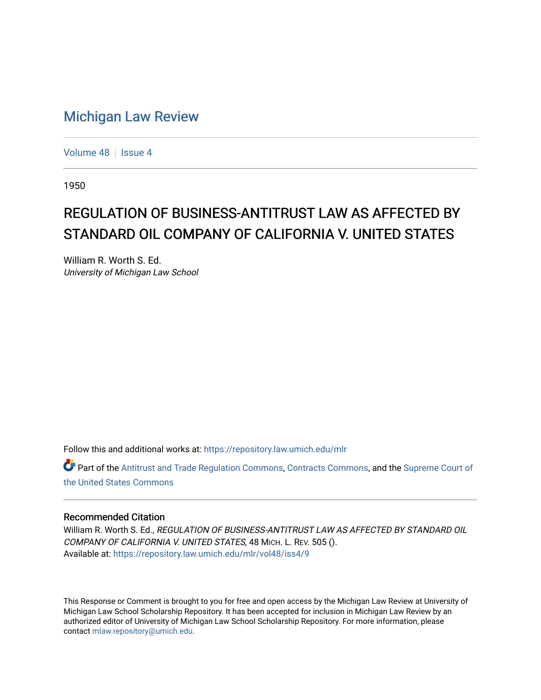# [Michigan Law Review](https://repository.law.umich.edu/mlr)

[Volume 48](https://repository.law.umich.edu/mlr/vol48) | [Issue 4](https://repository.law.umich.edu/mlr/vol48/iss4)

1950

# REGULATION OF BUSINESS-ANTITRUST LAW AS AFFECTED BY STANDARD OIL COMPANY OF CALIFORNIA V. UNITED STATES

William R. Worth S. Ed. University of Michigan Law School

Follow this and additional works at: [https://repository.law.umich.edu/mlr](https://repository.law.umich.edu/mlr?utm_source=repository.law.umich.edu%2Fmlr%2Fvol48%2Fiss4%2F9&utm_medium=PDF&utm_campaign=PDFCoverPages) 

Part of the [Antitrust and Trade Regulation Commons,](http://network.bepress.com/hgg/discipline/911?utm_source=repository.law.umich.edu%2Fmlr%2Fvol48%2Fiss4%2F9&utm_medium=PDF&utm_campaign=PDFCoverPages) [Contracts Commons](http://network.bepress.com/hgg/discipline/591?utm_source=repository.law.umich.edu%2Fmlr%2Fvol48%2Fiss4%2F9&utm_medium=PDF&utm_campaign=PDFCoverPages), and the [Supreme Court of](http://network.bepress.com/hgg/discipline/1350?utm_source=repository.law.umich.edu%2Fmlr%2Fvol48%2Fiss4%2F9&utm_medium=PDF&utm_campaign=PDFCoverPages)  [the United States Commons](http://network.bepress.com/hgg/discipline/1350?utm_source=repository.law.umich.edu%2Fmlr%2Fvol48%2Fiss4%2F9&utm_medium=PDF&utm_campaign=PDFCoverPages) 

### Recommended Citation

William R. Worth S. Ed., REGULATION OF BUSINESS-ANTITRUST LAW AS AFFECTED BY STANDARD OIL COMPANY OF CALIFORNIA V. UNITED STATES, 48 MICH. L. REV. 505 (). Available at: [https://repository.law.umich.edu/mlr/vol48/iss4/9](https://repository.law.umich.edu/mlr/vol48/iss4/9?utm_source=repository.law.umich.edu%2Fmlr%2Fvol48%2Fiss4%2F9&utm_medium=PDF&utm_campaign=PDFCoverPages)

This Response or Comment is brought to you for free and open access by the Michigan Law Review at University of Michigan Law School Scholarship Repository. It has been accepted for inclusion in Michigan Law Review by an authorized editor of University of Michigan Law School Scholarship Repository. For more information, please contact [mlaw.repository@umich.edu](mailto:mlaw.repository@umich.edu).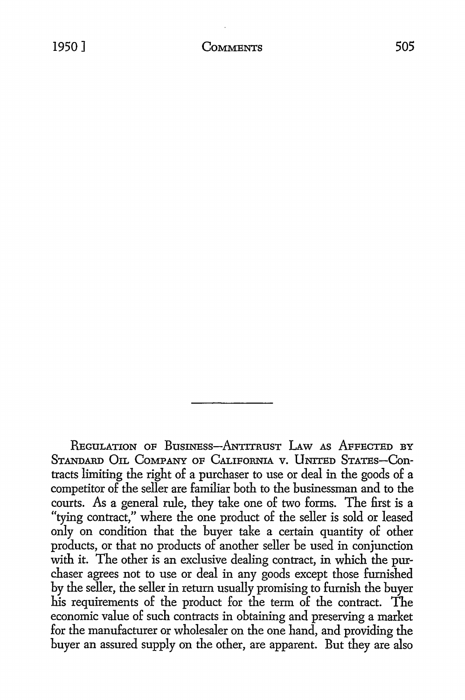REGULATION OF BUSINESS-ANTITRUST LAW AS AFFECTED BY STANDARD OIL COMPANY OF CALIFORNIA V. UNITED STATES-Contracts limiting the right of a purchaser to use or deal in the goods of a competitor of the seller are familiar both to the businessman and to the courts. As a general rule, they take one of two forms. The first is a "tying contract," where the one product of the seller is sold or leased only on condition that the buyer take a certain quantity of other products, or that no products of another seller be used in conjunction with it. The other is an exclusive dealing contract, in which the purchaser agrees not to use or deal in any goods except those furnished by the seller, the seller in return usually promising to furnish the buyer his requirements of the product for the term of the contract. The economic value of such contracts in obtaining and preserving a market for the manufacturer or wholesaler on the one hand, and providing the buyer an assured supply on the other, are apparent. But they are also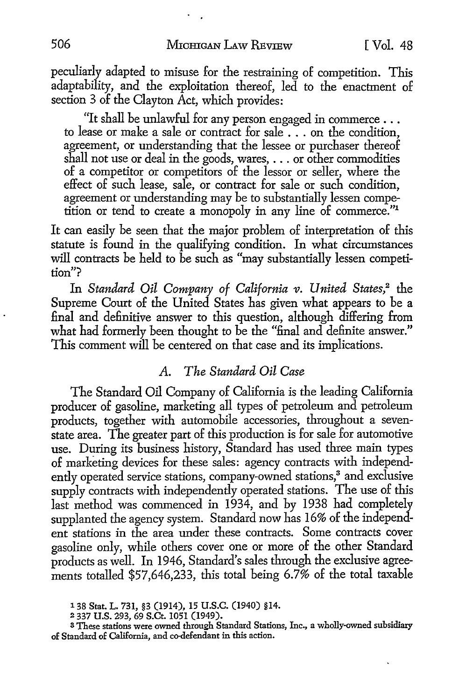peculiarly adapted to misuse for the restraining of competition. This adaptability, and the exploitation thereof, led to the enactment of section 3 of the Clayton Act, which provides:

"It shall be unlawful for any person engaged in commerce ... to lease or make a sale or contract for sale . . . on the condition, agreement, or understanding that the lessee or purchaser thereof shall not use or deal in the goods, wares, ... or other commodities of a competitor or competitors of the lessor or seller, where the effect of such lease, sale, or contract for sale or such condition, agreement or understanding may be to substantially lessen competition or tend to create a monopoly in any line of commerce."<sup>1</sup>

It can easily be seen that the major problem of interpretation of this statute is found in the qualifying condition. In what circumstances will contracts be held to be such as "may substantially lessen competition"?

In *Standard Oil Company of California v. United States,2* the Supreme Court of the United States has given what appears to be a final and definitive answer to this question, although differing from what had formerly been thought to be the "final and definite answer." This comment will be centered on that case and its implications.

### *A. The Standard Oil Case*

The Standard Oil Company of California is the leading California producer of gasoline, marketing all types of petroleum and petroleum products, together with automobile accessories, throughout a sevenstate area. The greater part of this production is for sale for automotive use. During its business history, Standard has used three main types of marketing devices for these sales: agency contracts with independently operated service stations, company-owned stations,<sup>3</sup> and exclusive supply contracts with independently operated stations. The use of this last method was commenced in 1934, and by 1938 had completely supplanted the agency system. Standard now has 16% of the independent stations in the area under these contracts. Some contracts cover gasoline only, while others cover one or more of the other Standard products as well. In 1946, Standard's sales through the exclusive agreements totalled \$57,646,233, this total being 6.7% of the total taxable

<sup>13</sup>s Stat. L. 731, §3 (1914), 15 U.S.C. (1940) §14.

<sup>2</sup> 337 U.S. 293, 69 S.Ct. 1051 (1949).

<sup>3</sup>These stations were owned through Standard Stations, Inc., a wholly-owned subsidiary of Standard of California, and co-defendant in this action.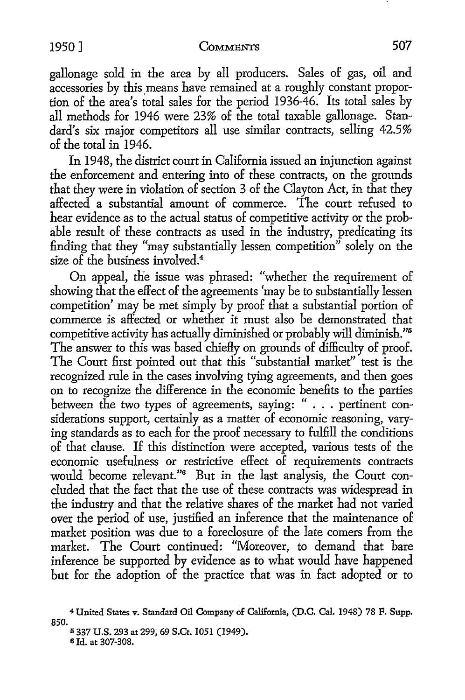gallonage sold in the area by all producers. Sales of gas, oil and accessories by this means have remained at a roughly constant proportion of the area's total sales for the period 1936-46. Its total sales by all methods for 1946 were 23% of the total taxable gallonage. Standard's six major competitors all use similar contracts, selling 42.5% of the total in 1946.

In 1948, the district court in California issued an injunction against the enforcement and entering into of these contracts, on the grounds that they were in violation of section 3 of the Clayton Act, in that they affected a substantial amount of commerce. The court refused to hear evidence as to the actual status of competitive activity or the probable result of these contracts as used in the industry, predicating its finding that they "may substantially lessen competition" solely on the size of the business involved.<sup>4</sup>

On appeal, the issue was phrased: "whether the requirement of showing that the effect of the agreements 'may be to substantially lessen competition' may be met simply by proof that a substantial portion of commerce is affected or whether it must also be demonstrated that competitive activity has actually diminished or probably will diminish."<sup>5</sup> The answer to this was based chiefly on grounds of difficulty of proof. The Court first pointed out that this "substantial market" test is the recognized rule in the cases involving tying agreements, and then goes on to recognize the difference in the economic benefits to the parties between the two types of agreements, saying: " . . . pertinent considerations support, certainly as a matter of economic reasoning, varying standards as to each for the proof necessary to fulfill the conditions of that clause. If this distinction were accepted, various tests of the economic usefulness or restrictive effect of requirements contracts would become relevant."6 But in the last analysis, the Court concluded that the fact that the use of these contracts was widespread in the industry and that the relative shares of the market had not varied over the period of use, justified an inference that the maintenance of market position was due to a foreclosure of the late comers from the market. The Court continued: "Moreover, to demand that bare inference be supported by evidence as to what would have happened but for the adoption of the practice that was in fact adopted or to

<sup>4</sup>United States v. Standard Oil Company of California, (D.C. Cal. 1948) 78 F. Supp. 850. 11 337 U.S. 293 at 299, 69 S.Ct. 1051 (1949).

<sup>6</sup> Id. at 307-308.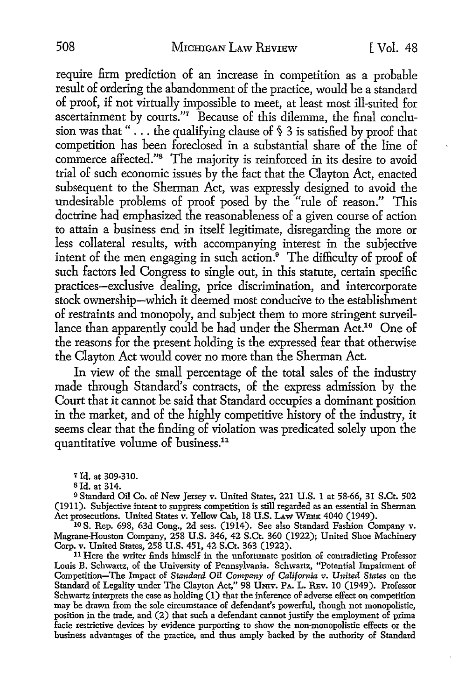require firm prediction of an increase in competition as a probable result of ordering the abandonment of the practice, would be a standard of proof, if not virtually impossible to meet, at least most ill-suited for ascertainment by courts."7 Because of this dilemma, the final conclusion was that "... the qualifying clause of § 3 is satisfied by proof that competition has been foreclosed in a substantial share of the line of commerce affected."<sup>8</sup> The majority is reinforced in its desire to avoid trial of such economic issues by the fact that the Clayton Act, enacted subsequent to the Sherman Act, was expressly designed to avoid the undesirable problems of proof posed by the "rule of reason." This doctrine had emphasized the reasonableness of a given course of action to attain a business end in itself legitimate, disregarding the more or less collateral results, with accompanying interest in the subjective intent of the men engaging in such action. $9$  The difficulty of proof of such factors led Congress to single out, in this statute, certain specific practices-exclusive dealing, price discrimination, and intercorporate stock ownership-which it deemed most conducive to the establishment of restraints and monopoly, and subject them to more stringent surveillance than apparently could be had under the Sherman Act.<sup>10</sup> One of the reasons for the present holding is the expressed fear that otherwise the Clayton Act would cover no more than the Sherman Act.

In view of the small percentage of the total sales of the industry made through Standard's contracts, of the express admission by the Court that it cannot be said that Standard occupies a dominant position in the market, and of the highly competitive history of the industry, it seems clear that the finding of violation was predicated solely upon the quantitative volume of business.<sup>11</sup>

*1* Id. at 309-310.

Sid. at 314 .

<sup>9</sup> Standard Oil Co. of New Jersey v. United States, 221 U.S. 1 at 58-66, 31 S.Ct. 502 (1911). Subjective intent to suppress competition is still regarded as an essential in Sherman Act prosecutions. United States v. Yellow Cab, 18 U.S. LAW WEEK 4040 (1949).

1o **S.** Rep. 698, 63d Cong., 2d sess. (1914). See also Standard Fashion Company v. Magrane-Houston Company, 258 U.S. 346, 42 S.Ct. 360 (1922); United Shoe Machinery Corp. v. United States, 258 U.S. 451, 42 S.Ct. 363 (1922).

11 Here the writer finds himself in the unfortunate position of contradicting Professor Louis B. Schwartz, of the University of Pennsylvania. Schwartz, "Potential Impairment of Competition-The Impact of *Standard Oil Company of California v. United States* on the Standard of Legality under The Clayton Act," 98 UNIV. PA. L. REV. 10 (1949). Professor Schwartz interprets the case as holding (1) that the inference of adverse effect on competition may be drawn from the sole circumstance of defendant's powerful, though not monopolistic, position in the trade, and (2) that such a defendant cannot justify the employment of prima facie restrictive devices by evidence purporting to show the non-monopolistic effects or the business advantages of the practice, and thus amply backed by the authority of Standard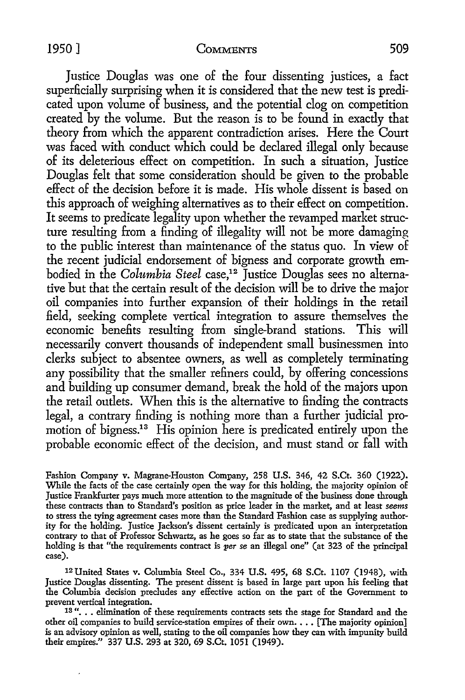Justice Douglas was one of the four dissenting justices, a fact superficially surprising when it is considered that the new test is predicated upon volume of business, and the potential clog on competition created by the volume. But the reason is to be found in exactly that theory from which the apparent contradiction arises. Here the Court was faced with conduct which could be declared illegal only because of its deleterious effect on competition. In such a situation, Justice Douglas felt that some consideration should be given to the probable effect of the decision before it is made. His whole dissent is based on this approach of weighing alternatives as to their effect on competition. It seems to predicate legality upon whether the revamped market structure resulting from a finding of illegality will not be more damaging to the public interest than maintenance of the status quo. In view of the recent judicial endorsement of bigness and corporate growth embodied in the *Columbia Steel* case,<sup>12</sup> Justice Douglas sees no alternative but that the certain result of the decision will be to drive the major oil companies into further expansion of their holdings in the retail field, seeking complete vertical integration to assure themselves the economic benefits resulting from single-brand stations. This will necessarily convert thousands of independent small businessmen into clerks subject to absentee owners, as well as completely terminating any possibility that the smaller refiners could, by offering concessions and building up consumer demand, break the hold of the majors upon the retail outlets. When this is the alternative to finding the contracts legal, a contrary finding is nothing more than a further judicial promotion of bigness.<sup>13</sup> His opinion here is predicated entirely upon the probable economic effect of the decision, and must stand or fall with

Fashion Company v. Magrane-Houston Company, 258 **U.S.** 346, 42 S.Ct. 360 (1922). While the facts of the case certainly open the way for this holding, the majority opinion of Justice Frankfurter pays much more attention to the magnitude of the business done through these contracts than to Standard's position as price leader in the market, and at least *seems*  to stress the tying agreement cases more than the Standard Fashion case as supplying authority for the holding. Justice Jackson's dissent certainly is predicated upon an interpretation contrary to that of Professor Schwartz, as he goes so far as to state that the substance of the holding is that "the requirements contract is *per se* an illegal one" (at 323 of the principal case).

12 United States v. Columbia Steel Co., 334 U.S. 495, 68 S.Ct. 1107 (1948), with Justice Douglas dissenting. The present dissent is based in large part upon his feeling that the Columbia decision precludes any effective action on the part of the Government to prevent vertical integration.

18 "... elimination of these requirements contracts sets the stage for Standard and the other oil companies to build service-station empires of their own. . . . [The majority opinion] is an advisory opinion as well, stating to the oil companies how they can with impunity build their empires." 337 U.S. 293 at 320, 69 S.Ct. 1051 (1949).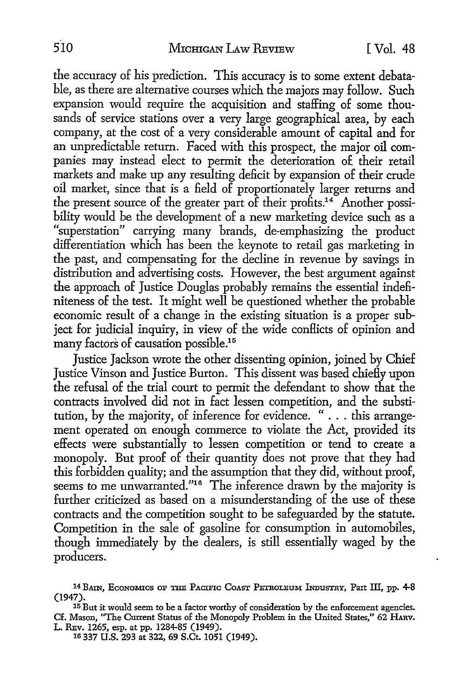the accuracy of his prediction. This accuracy is to some extent debatable, as there are alternative courses which the majors may follow. Such expansion would require the acquisition and staffing of some thousands of service stations over a very large geographical area, by each company, at the cost of a very considerable amount of capital and for an unpredictable return. Faced with this prospect, the major oil companies may instead elect to permit the deterioration of their retail markets and make up any resulting deficit by expansion of their crude oil market, since that is a field of proportionately larger returns and the present source of the greater part of their profits.<sup>14</sup> Another possibility would be the development of a new marketing device such as a "superstation" carrying many brands, de-emphasizing the product differentiation which has been the keynote to retail gas marketing in the past, and compensating for the decline in revenue by savings in distribution and advertising costs. However, the best argument against the approach of Justice Douglas probably remains the essential indefiniteness of the test. It might well be questioned whether the probable economic result of a change in the existing situation is a proper subject for judicial inquiry, in view of the wide conflicts of opinion and many factors of causation possible.15

Justice Jackson wrote the other dissenting opinion, joined by Chief Justice Vinson and Justice Burton. This dissent was based chiefly upon the refusal of the trial court to permit the defendant to show that the contracts involved did not in fact lessen competition, and the substitution, by the majority, of inference for evidence. " ... this arrangement operated on enough commerce to violate the Act, provided its effects were substantially to lessen competition or tend to create a monopoly. But proof of their quantity does not prove that they had this forbidden quality; and the assumption that they did, without proof, seems to me unwarranted."<sup>16</sup> The inference drawn by the majority is further criticized as based on a misunderstanding of the use of these contracts and the competition sought to be safeguarded by the statute. Competition in the sale of gasoline for consumption in automobiles, though immediately by the dealers, is still essentially waged by the producers.

<sup>14</sup> BAIN, ECONOMICS OF THE PACIFIC COAST PETROLEUM INDUSTRY, Part III, pp. 4-8 (1947).

<sup>&</sup>lt;sup>15</sup> But it would seem to be a factor worthy of consideration by the enforcement agencies. Cf. Mason, ''The Current Status of the Monopoly Problem in the United States," 62 HARv. L. REv. 1265, esp. at pp. 1284-85 (1949).

<sup>10 337</sup> U.S. 293 at 322, 69 S.Ct. 1051 (1949).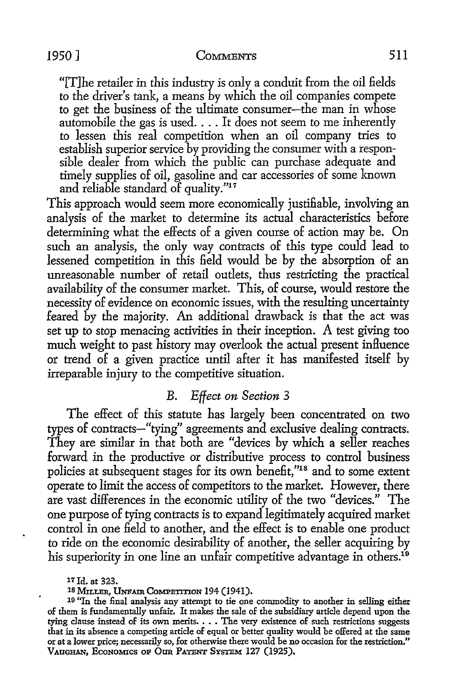"[T]he retailer in this industry is only a conduit from the oil fields to the driver's tank, a means by which the oil companies compete *to* get the business of the ultimate consumer-the man in whose automobile the gas is used .... It does not seem to me inherently *to* lessen this real competition when an oil company tries to establish superior service by providing the consumer with a responsible dealer from which the public can purchase adequate and timely supplies of oil, gasoline and car accessories of some known and reliable standard of quality."<sup>17</sup>

This approach would seem more economically justifiable, involving an analysis of the market to determine its actual characteristics before determining what the effects of a given course of action may be. On such an analysis, the only way contracts of this type could lead to lessened competition in this field would be by the absorption of an unreasonable number of retail outlets, thus restricting the practical availability of the consumer market. This, of course, would restore the necessity of evidence on economic issues, with the resulting uncertainty feared by the majority. An additional drawback is that the act was set up to stop menacing activities in their inception. A test giving too much weight *to* past history may overlook the actual present inHuence or trend of a given practice until after it has manifested itself by irreparable injury to the competitive situation.

## B. *Effect on Section* 3

The effect of this statute has largely been concentrated on two types of contracts-"tying" agreements and exclusive dealing contracts. They are similar in that both are "devices by which a seller reaches forward in the productive or distributive process to control business policies at subsequent stages for its own benefit,"18 and to some extent operate to limit the access of competitors *to* the market. However, there are vast differences in the economic utility of the two "devices." The one purpose of tying contracts is *to* expand legitimately acquired market control in one field to another, and the effect is to enable one product to ride on the economic desirability of another, the seller acquiring by his superiority in one line an unfair competitive advantage in others.<sup>19</sup>

17 Id. at 323.

18 MILLER, UNFAIR COMPETITION 194 (1941).

<sup>19</sup>"In the final analysis any attempt to tie one commodity to another in selling either of them is fundamentally unfair. It makes the sale of the subsidiazy article depend upon the tying clause instead of its own merits. . . . The very existence of such restrictions suggests that in its absence a competing article of equal or better quality would be offered at the same or at a lower price; necessarily so, for otherwise there would be no occasion for the restriction." VAUGHAN, ECONOMICS OF OUR PATENT SYSTEM 127 (1925).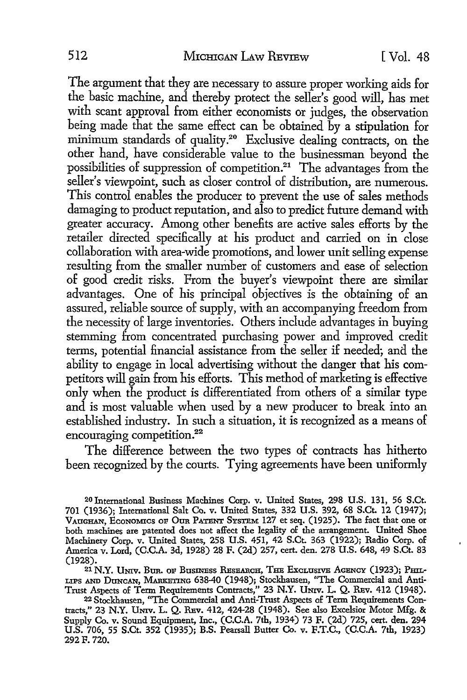The argument that they are necessary to assure proper working aids for the basic machine, and thereby protect the seller's good will, has met with scant approval from either economists or judges, the observation being made that the same effect can be obtained by a stipulation for minimum standards of quality.20 Exclusive dealing contracts, on the other hand, have considerable value to the businessman beyond the possibilities of suppression of competition.<sup>21</sup> The advantages from the seller's viewpoint, such as closer control of distribution, are numerous. This control enables the producer to prevent the use of sales methods damaging to product reputation, and also to predict future demand with greater accuracy. Among other benefits are active sales efforts by the retailer directed specifically at his product and carried on in close collaboration with area-wide promotions, and lower unit selling expense resulting from the smaller number of customers and ease of selection of good credit risks. From the buyer's viewpoint there are similar advantages. One of his principal objectives is the obtaining of an assured, reliable source of supply, with an accompanying freedom from the necessity of large inventories. Others include advantages in buying stemming from concentrated purchasing power and improved credit terms, potential financial assistance from the seller if needed; and the ability to engage in local advertising without the danger that his competitors will gain from his efforts. This method of marketing is effective only when the product is differentiated from others of a similar type and is most valuable when used by a new producer to break into an established industry. In such a situation, it is recognized as a means of encouraging competition.<sup>22</sup>

The difference between the two types of contracts has hitherto been recognized by the courts. Tying agreements have been uniformly

20 International Business Machines Corp. v. United States, 298 U.S. 131, 56 S.Ct. 701 (1936); International Salt Co. v. United States, 332 U.S. 392, 68 S.Ct. 12 (1947); VAUGHAN, EcoNOMICS OF Otm PATENT SYSTEM 127 et seq. (1925). The fact that one or both machines are patented does not affect the legality of the arrangement. United Shoe Machinery Corp. v. United States, 258 U.S. 451, 42 S.Ct. 363 (1922); Radio Corp. of America v. Lord, (C.C.A. 3d, 1928) 28 F. (2d) 257, cert. den. 278 U.S. 648, 49 S.Ct. 83 (1928).

21 N.Y. UNIV. BUR. OF BUSINESS RESEARCH, THE EXCLUSIVE AGENCY (1923); PHIL-LIPS AND DUNCAN, MARKETING 638-40 (1948); Stockhausen, "The Commercial and Anti-Trust Aspects of Term Requirements Contracts," 23 N.Y. UNIV. L. Q. REV. 412 (1948).

22 Stockhausen, "The Commercial and Anti-Trust Aspects of Term Requirements Contracts," 23 N.Y. UNIV. L. Q. REV. 412, 424-28 (1948). See also Excelsior Motor Mfg. & Supply Co. v. Sound Equipment, Inc., (C.C.A. 7th, 1934) 73 F. (2d) 725, cert. den. 294 U.S. 706, 55 S.Ct. 352 (1935); B.S. Pearsall Butter Co. v. F.T.C., (C.C.A. 7th, 1923) 292F. 720.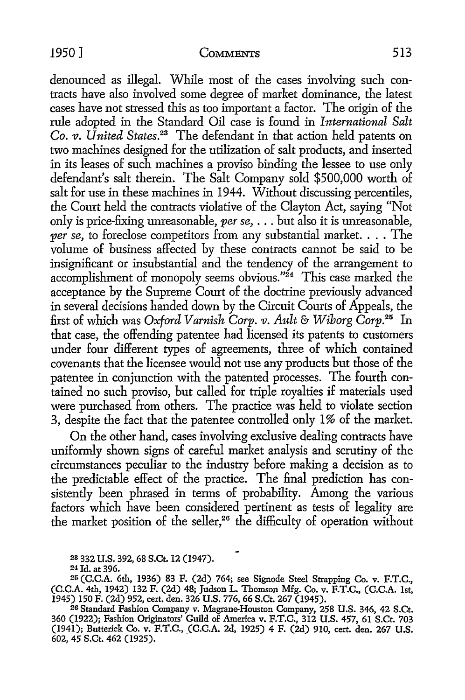denounced as illegal. While most of the cases involving such contracts have also involved some degree of market dominance, the latest cases have not stressed this as too important a factor. The origin of the rule adopted in the Standard Oil case is found in *International Salt Co. v. United States.23* The defendant in that action held patents on two machines designed for the utilization of salt products, and inserted in its leases of such machines a proviso binding the lessee to use only defendant's salt therein. The Salt Company sold \$500,000 worth of salt for use in these machines in 1944. Without discussing percentiles, the Court held the contracts violative of the Clayton Act, saying "Not only is price-fixing unreasonable, *per se,* ... but also it is unreasonable, *per se,* to foreclose competitors from any substantial market. . . . The volume of business affected by these contracts cannot be said to be insignificant or insubstantial and the tendency of the arrangement to accomplishment of monopoly seems obvious."<sup>24</sup> This case marked the acceptance by the Supreme Court of the doctrine previously advanced in several decisions handed down by the Circuit Courts of Appeals, the first of which was *Oxford Varnish Corp. v. Ault* & *Wiborg Corp.25* In that case, the offending patentee had licensed its patents to customers under four different types of agreements, three of which contained covenants that the licensee would not use any products but those of the patentee in conjunction with the patented processes. The fourth contained no such proviso, but called for triple royalties if materials used were purchased from others. The practice was held to violate section 3, despite the fact that the patentee controlled only I% of the market.

On the other hand, cases involving exclusive dealing contracts have uniformly shown signs of careful market analysis and scrutiny of the circumstances peculiar to the industry before making a decision as to the predictable effect of the practice. The final prediction has consistently been phrased in terms of probability. Among the various factors which have been considered pertinent as tests of legality are the market position of the seller,<sup>26</sup> the difficulty of operation without

2s 332 U.S. 392, 68 S.Ct. 12 (1947).

24 Jd. at 396.

25 (C.C.A. 6th, 1936) 83 F. (2d) 764; see Signode Steel Strapping Co. v. F.T.C., (C.C.A. 4th, 1942) 132 F. (2d) 48; Judson L. Thomson Mfg. Co. v. F.T.C., (C.C.A. 1st,

1945) 150 F. (2d) 952, cert. den. 326 U.S. 776, 66 S.Ct. 267 (1945). 26 Standard Fashion Company v. Magrane-Houston Company, 258 U.S. 346, 42 S.Ct. 360 (1922); Fashion Originators' Guild of America v. F.T.C., 312 U.S. 457, 61 S.Ct. 703 (1941); Butterick Co. v. F.T.C., \_(C.C.A. 2d, 1925) 4 F. (2d) 910, cert. den. 267 U.S. 602, 45 S.Ct. 462 (1925).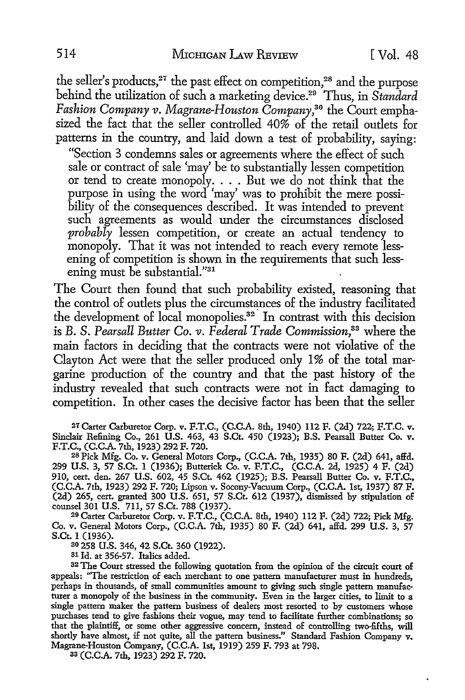the seller's products,<sup>27</sup> the past effect on competition,<sup>28</sup> and the purpose behind the utilization of such a marketing device.29 Thus, in *Standard Fashion Company v. Magrane-Houston Company,30* the Court emphasized the fact that the seller controlled 40% of the retail outlets for patterns in the country, and laid down a test of probability, saying:

"Section 3 condemns sales or agreements where the effect of such sale or contract of sale 'may' be to substantially lessen competition or tend to create monopoly. . . . But we do not think that the purpose in using the word 'may' was to prohibit the mere possibility of the consequences described. It was intended to prevent such agreements as would under the circumstances disclosed *probably* lessen competition, or create an actual tendency to monopoly. That it was not intended to reach every remote lessening of competition is shown in the requirements that such lessening must be substantial."31

The Court then found that such probability existed, reasoning that the control of outlets plus the circumstances of the industry facilitated the development of local monopolies.<sup>32</sup> In contrast with this decision is B. *S. Pearsall Butter Co. v. Federal Trade Commission,33* where the main factors in deciding that the contracts were not violative of the Clayton Act were that the seller produced only I% of the total margarine production of the country and that the past history of the industry revealed that such contracts were not in fact damaging to competition. In other cases the decisive factor has been that the seller

*21* Carter Carburetor Corp. v. F.T.C., (C.C.A. 8th, 1940) 112 F. (2d) 722; F.T.C. v. Sinclair Refining Co., 261 U.S. 463, 43 S.Ct. 450 (1923); B.S. Pearsall Butter Co. v. F.T.C., (C.C.A. 7th, 1923) 292 F. 720.

2s Pick Mfg. Co. v. General Motors Corp., (C.C.A. 7th, 1935) 80 F. (2d) 641, affd. 299 U.S. 3, 57 S.Ct. 1 (1936); Butterick Co. v. F.T.C., (C.C.A. 2d, 1925) 4 F. (2d) 910, cert. den. 267 U.S. 602, 45 S.Ct. 462 (1925); B.S. Pearsall Butter Co. v. F.T.C., (C.C.A. 7th, 1923) 292 F. 720; Lipson v. Socony-Vacuum Corp., (C.C.A. 1st, 1937) 87 F. (2d) 265, cert. granted 300 U.S. 651, 57 S.Ct. 612 (1937), dismissed by stipulation of counsel 301 U.S. 711, 57 S.Ct. 788 (1937).

29 Carter Carburetor Corp. v. F.T.C., (C.C.A. 8th, 1940) 112 F. (2d) 722; Pick Mfg. Co. v. General Motors Corp., (C.C.A. 7th, 1935) 80 F. (2d) 641, affd. 299 U.S. 3, 57 S.Ct. 1 (1936).

<sup>30</sup>258 U.S. 346, 42 S.Ct. 360 (1922).

31 Id. at 356-57. Italics added.

<sup>3</sup>2 The Court stressed the following quotation from the opinion of the circuit court of appeals: "The restriction of each merchant to one pattern manufacturer must in hundreds, perhaps in thousands, of small communities amount to giving such single pattern manufacturer a monopoly of the business in the community. Even in the larger cities, to limit to a single pattern maker the pattern business of dealers most resorted to by customers whose purchases tend to give fashions their vogue, may tend to facilitate further combinations; so that the plaintiff, or some other aggressive concern, instead of controlling two-fifths, will shortly have almost, if not quite, all the pattern business." Standard Fashion Company v. Magrane-Houston Company, (C.C.A. 1st, 1919) 259 F. 793 at 798.

83 (C.C.A. 7th, 1923) 292 F. 720.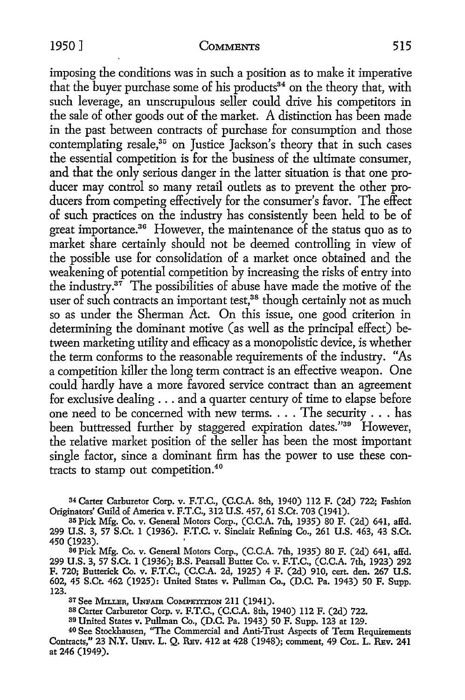#### 1950 J COMMENTS 515

imposing the conditions was in such a position as to make it imperative that the buyer purchase some of his products<sup>34</sup> on the theory that, with such leverage, an unscrupulous seller could drive his competitors in the sale of other goods out of the market. A distinction has been made in the past between contracts of purchase for consumption and those contemplating resale,<sup>35</sup> on Justice Jackson's theory that in such cases the essential competition is for the business of the ultimate consumer, and that the only serious danger in the latter situation is that one producer may control so many retail outlets as to prevent the other producers from competing effectively for the consumer's favor. The effect of such practices on the industry has consistently been held to be of great importance.<sup>36</sup> However, the maintenance of the status quo as to market share certainly should not be deemed controlling in view of the possible use for consolidation of a market once obtained and the weakening of potential competition by increasing the risks of entry into the industry. $3^7$  The possibilities of abuse have made the motive of the user of such contracts an important test,<sup>38</sup> though certainly not as much so as under the Sherman Act. On this issue, one good criterion in determining the dominant motive (as well as the principal effect) between marketing utility and efficacy as a monopolistic device, is whether the term conforms to the reasonable requirements of the industry. "As a competition killer the long term contract is an effective weapon. One could hardly have a more favored service contract than an agreement for exclusive dealing ... and a quarter century of time to elapse before one need to be concerned with new terms. . . . The security . . . has been buttressed further by staggered expiration dates."<sup>39</sup> However, the relative market position of the seller has been the most important single factor, since a dominant firm has the power to use these contracts to stamp out competition. 40

<sup>34</sup>Carter Carburetor Corp. v. F.T.C., (C.C.A. 8th, 1940) 112 F. (2d) 722; Fashion Originators' Guild of America v. F.T.C., 312 U.S. 457, 61 S.Ct. 703 (1941).

35 Pick Mfg. Co. v. General Motors Corp., (C.C.A. 7th, 1935) 80 F. (2d) 641, affd. 299 U.S. 3, 57 S.Ct. 1 (1936). F.T.C. v. Sinclair Refining Co., 261 U.S. 463, 43 S.Ct. 450 (1923). '

<sup>80</sup>Pick Mfg. Co. v. General Motors Corp., (C.C.A. 7th, 1935) 80 F. (2d) 641, affd. 299 U.S. 3, 57 S.Ct. 1 (1936); B.S. Pearsall Butter Co. v. F.T.C., (C.C.A. 7th, 1923) 292 F. 720; Butterick Co. v. F.T.C., (C.C.A. 2d, 1925) 4 F. (2d) 910, cert. den. 267 U.S. 602, 45 S.Ct. 462 (1925): United States v. Pullman Co., (D.C. Pa. 1943) 50 F. Supp. 123.

<sup>37</sup> See MILLER, UNFAIR COMPETITION 211 (1941).

as Carter Carburetor Corp. v. F.T.C., (C.C.A. 8th, 1940) 112 F. (2d) 722.

39 United States v. Pullman Co., (D.C. Pa. 1943) 50 F. Supp. 123 at 129.

40 See Stockhausen, "The Commercial and Anti-Trust Aspects of Term Requirements Contracts," 23 N.Y. UNIV. L. Q. REV. 412 at 428 (1948); comment, 49 CoL. L. REV. 241 at 246 (1949).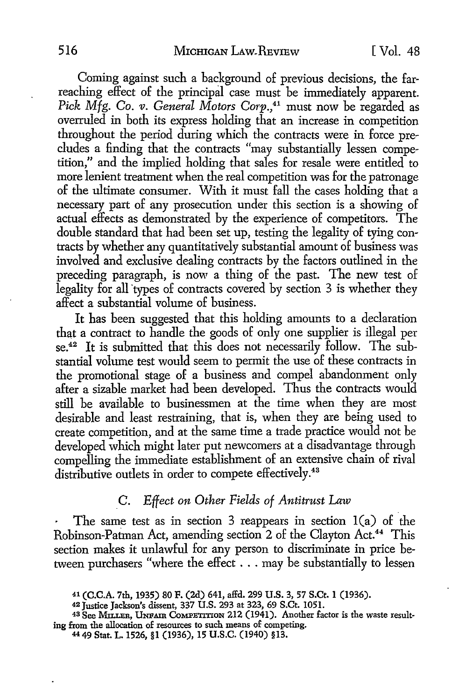Coming against such a background of previous decisions, the farreaching effect of the principal case must be immediately apparent. Pick Mfg. Co. *v. General Motors Corp.*,<sup>41</sup> must now be regarded as overruled in both its express holding that an increase in competition throughout the period during which the contracts were in force precludes a finding that the contracts "may substantially lessen competition," and the implied holding that sales for resale were entitled to more lenient treatment when the real competition was for the patronage of the ultimate consumer. With it must fall the cases holding that a necessary part of any prosecution under this section is a showing of actual effects as demonstrated by the experience of competitors. The double standard that had been set up, testing the legality of tying contracts by whether any quantitatively substantial amount of business was involved and exclusive dealing contracts by the factors outlined in the preceding paragraph, is now a thing of the past. The new test of legality for all types of contracts covered by section 3 is whether they affect a substantial volume of business.

It has been suggested that this holding amounts to a declaration that a contract to handle the goods of only one supplier is illegal per se.<sup>42</sup> It is submitted that this does not necessarily follow. The substantial volume test would seem to permit the use of these contracts in the promotional stage of a business and compel abandonment only after a sizable market had been developed. Thus the contracts would still be available to businessmen at the time when they are most desirable and least restraining, that is, when they are being used to create competition, and at the same time a trade practice would not be developed which might later put newcomers at a disadvantage through compelling the immediate establishment of an extensive chain of rival distributive outlets in order to compete effectively.<sup>43</sup>

# C. *Effect on Other Fields of Antitrust* Law

The same test as in section 3 reappears in section  $1(a)$  of the Robinson-Patman Act, amending section 2 of the Clayton Act.<sup>44</sup> This section makes it unlawful for any person to discriminate in price between purchasers "where the effect ... may be substantially to lessen

<sup>41 (</sup>C.C.A. 7th, 1935) 80 F. (2d) 641, affd. 299 U.S. 3, 57 S.Ct. 1 (1936).

<sup>&</sup>lt;sup>43</sup> See MILLER, UNFAIR COMPETITION 212 (1941). Another factor is the waste resulting from the allocation of resources to such means of competing.

<sup>4449</sup> Stat. L. 1526, §1 (1936), 15 U.S.C. (1940) §13.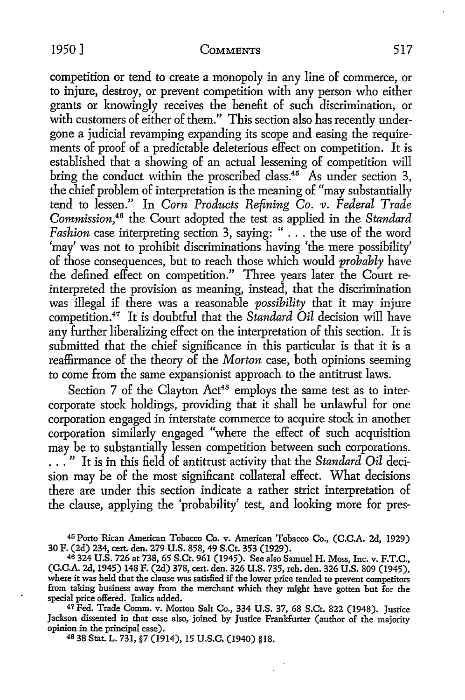competition or tend to create a monopoly in any line of commerce, or to injure, destroy, or prevent competition with any person who either grants or knowingly receives the benefit of such discrimination, or with customers of either of them." This section also has recently undergone a judicial revamping expanding its scope and easing the requirements of proof of a predictable deleterious effect on competition. It is established that a showing of an actual lessening of competition will bring the conduct within the proscribed class.<sup>45</sup> As under section 3, the chief problem of interpretation is the meaning of "may substantially tend to lessen."- In *Corn Products Refining Co. v. Federal Trade Commission,46* the Court adopted the test as applied in the *Standard Fashion* case interpreting section 3, saying: " ... the use of the word 'may' was not to prohibit discriminations having 'the mere possibility' of those consequences, but to reach those which would *probably* have the defined effect on competition." Three years later the Court reinterpreted the provision as meaning, instead, that the discrimination was illegal if there was a reasonable *possibility* that it may injure competition.47 It is doubtful that the *Standard Oil* decision will have any further liberalizing effect on the interpretation of this section. It is submitted that the chief significance in this particular is that it is a reaffirmance of the theory of the *Morton* case, both opinions seeming to come from the same expansionist approach to the antitrust laws.

Section 7 of the Clayton Act<sup>48</sup> employs the same test as to intercorporate stock holdings, providing that it shall be unlawful for one corporation engaged in interstate commerce to acquire stock in another corporation similarly engaged "where the effect of such acquisition may be to substantially lessen competition between such corporations. . . . " It is in this field of antitrust activity that the *Standard Oil* decision may be of the most significant collateral effect. What decisions there are under this section indicate a rather strict interpretation of the clause, applying the 'probability' test, and looking more for pres-

45 Porto Rican American Tobacco Co. v. American Tobacco Co., (C.C.A. 2d, 1929) 30 F. (2d) 234, cert. den. 279 U.S. 858, 49 S.Ct. 353 (1929).

46 324 U.S. 726 at 738, 65 S.Ct. 961 (1945). See also Samuel H. Moss, Inc. v. F.T.C., (C.C.A. 2d, 1945) 148 F. (2d) 378, cert. den. 326 U.S. 735, reh. den. 326 U.S. 809 (1945), where it was held that the clause was satisfied if the lower price tended to prevent competitors from taking business away from the merchant which they might have gotten but for the

<sup>47</sup> Fed. Trade Comm. v. Morton Salt Co., 334 U.S. 37, 68 S.Ct. 822 (1948). Justice Jackson dissented in that case also, joined by Justice Frankfurter (author of the majority opinion in the principal case).

48 38 Stat. L. 731, §7 (1914), 15 U.S.C. (1940) §18.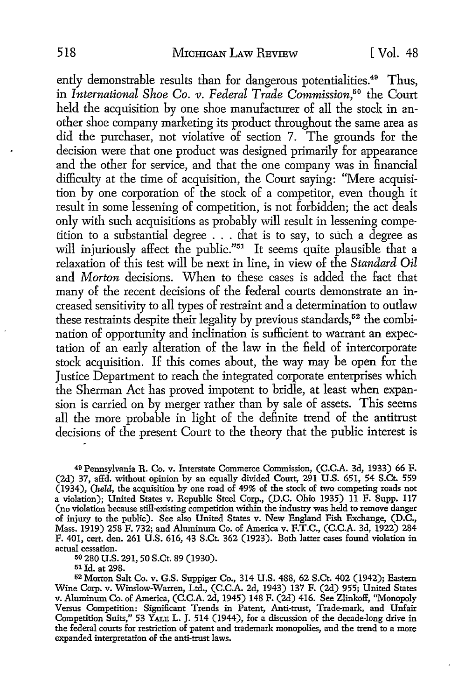ently demonstrable results than for dangerous potentialities.<sup>49</sup> Thus, in *International Shoe Co. v. Federal Trade Commission,50* the Court held the acquisition by one shoe manufacturer of all the stock in another shoe company marketing its product throughout the same area as did the purchaser, not violative of section 7. The grounds for the decision were that one product was designed primarily for appearance and the other for service, and that the one company was in financial difficulty at the time of acquisition, the Court saying: "Mere acquisition by one corporation of the stock of a competitor, even though it result in some lessening of competition, is not forbidden; the act deals only with such acquisitions as probably will result in lessening competition to a substantial degree . . . that is to say, to such a degree as will injuriously affect the public."<sup>51</sup> It seems quite plausible that a relaxation of this test will be next in line, in view of the *Standard Oil*  and *Morton* decisions. When to these cases is added the fact that many of the recent decisions of the federal courts demonstrate an increased sensitivity to all types of restraint and a determination to outlaw these restraints despite their legality by previous standards,<sup>52</sup> the combination of opportunity and inclination is sufficient to warrant an expectation of an early alteration of the law in the field of intercorporate stock acquisition. If this comes about, the way may be open for the Justice Department to reach the integrated corporate enterprises which the Sherman Act has proved impotent to bridle, at least when expansion is carried on by merger rather than by sale of assets. This seems all the more probable in light of the definite trend of the antitrust decisions of the present Court to the theory that the public interest is

49 Pennsylvania R. Co. v. Interstate Commerce Commission, (C.C.A. 3d, 1933) 66 F. (2d) 37, affd. without opinion by an equally divided Court, 291 U.S. 651, 54 S.Ct. 559 (1934), *(held,* the acquisition by one road of 49% of the stock of two competing roads not a violation); United States v. Republic Steel Corp., (D.C. Ohio 1935) 11 F. Supp. 117 (no violation because still-existing competition within the industry was held to remove danger of injury to the public). See also United States v. New England Fish Exchange, (D.C., Mass. 1919) 258 F. 732; and Aluminum Co. of America v. F.T.C., (C.C.A. 3d, 1922) 284 F. 401, cert. den. 261 U.S. 616, 43 S.Ct. 362 (1923). Both latter cases found violation in actual cessation.

50 280 U.S. 291, 50 S.Ct. 89 (1930).

51 Id. at 298.

52 Morton Salt Co. v. G.S. Suppiger Co., 314 U.S. 488, 62 S.Ct. 402 (1942); Eastern Wine Corp. v. Winslow-Warren, Ltd., (C.C.A. 2d, 1943) 137 F. (2d) 955; United States v. Aluminum Co. of America, (C.C.A. 2d, 1945) 148 F. (2d) 416. See Zlinkoff, "Monopoly Versus Competition: Significant Trends in Patent, Anti-trust, Trade-mark, and Unfair Competition Suits,'' 53 YALE L. J. 514 (1944), for a discussion of the decade-long drive in the federal courts for restriction of patent and trademark monopolies, and the trend to a more expanded interpretation of the anti-trust laws.